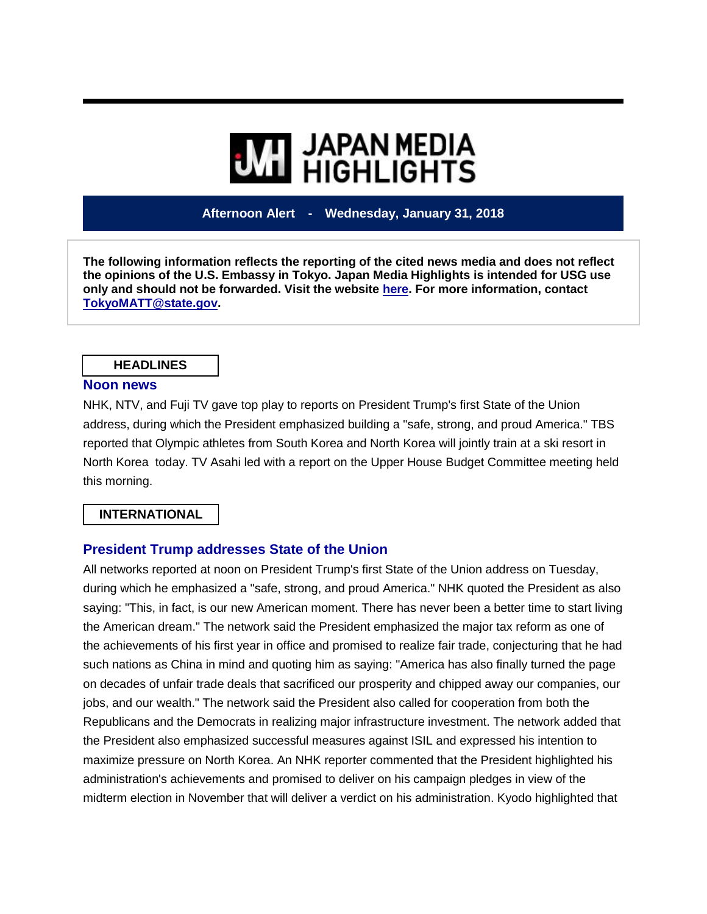# **WI JAPAN MEDIA<br>MI HIGHLIGHTS**

**Afternoon Alert - Wednesday, January 31, 2018**

**The following information reflects the reporting of the cited news media and does not reflect the opinions of the U.S. Embassy in Tokyo. Japan Media Highlights is intended for USG use only and should not be forwarded. Visit the website [here.](https://jmh.usembassy.gov/) For more information, contact [TokyoMATT@state.gov.](mailto:TokyoMATT@state.gov)**

#### **HEADLINES**

#### **Noon news**

NHK, NTV, and Fuji TV gave top play to reports on President Trump's first State of the Union address, during which the President emphasized building a "safe, strong, and proud America." TBS reported that Olympic athletes from South Korea and North Korea will jointly train at a ski resort in North Korea today. TV Asahi led with a report on the Upper House Budget Committee meeting held this morning.

## **INTERNATIONAL**

#### **President Trump addresses State of the Union**

All networks reported at noon on President Trump's first State of the Union address on Tuesday, during which he emphasized a "safe, strong, and proud America." NHK quoted the President as also saying: "This, in fact, is our new American moment. There has never been a better time to start living the American dream." The network said the President emphasized the major tax reform as one of the achievements of his first year in office and promised to realize fair trade, conjecturing that he had such nations as China in mind and quoting him as saying: "America has also finally turned the page on decades of unfair trade deals that sacrificed our prosperity and chipped away our companies, our jobs, and our wealth." The network said the President also called for cooperation from both the Republicans and the Democrats in realizing major infrastructure investment. The network added that the President also emphasized successful measures against ISIL and expressed his intention to maximize pressure on North Korea. An NHK reporter commented that the President highlighted his administration's achievements and promised to deliver on his campaign pledges in view of the midterm election in November that will deliver a verdict on his administration. Kyodo highlighted that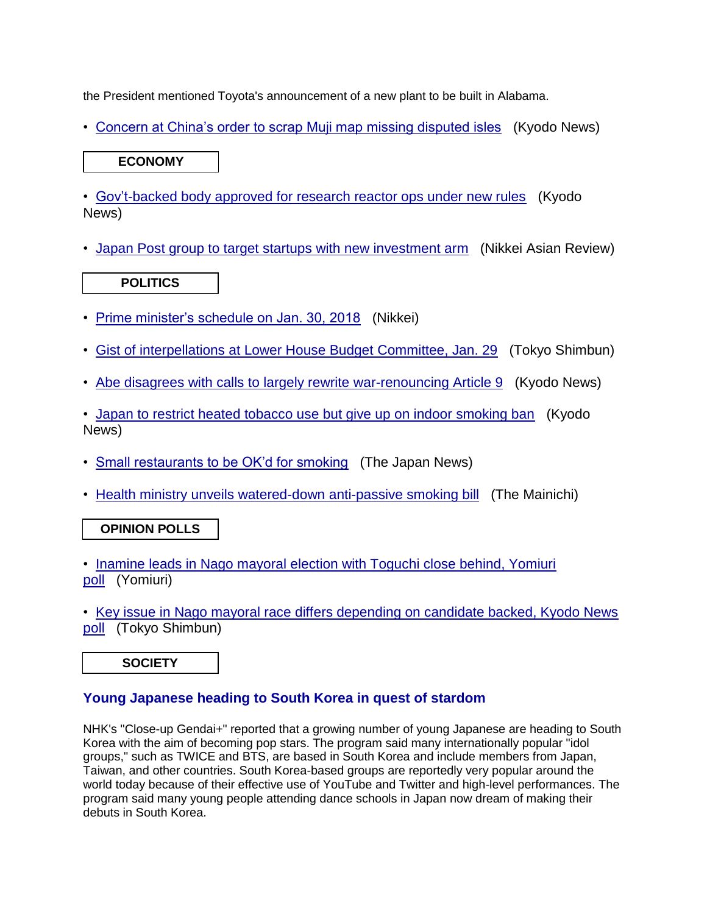the President mentioned Toyota's announcement of a new plant to be built in Alabama.

• [Concern at China's order to scrap Muji map missing disputed isles](https://jmh.usembassy.gov/2018013199481/) (Kyodo News)

# **ECONOMY**

• [Gov't-backed body approved for research reactor ops under new rules](https://jmh.usembassy.gov/2018013199479/) (Kyodo News)

• [Japan Post group to target startups with new investment arm](https://jmh.usembassy.gov/2018013199443/) (Nikkei Asian Review)

# **POLITICS**

- [Prime minister's schedule on Jan. 30, 2018](https://jmh.usembassy.gov/2018013199459/) (Nikkei)
- [Gist of interpellations at Lower House Budget Committee, Jan. 29](https://jmh.usembassy.gov/2018013199462/) (Tokyo Shimbun)
- [Abe disagrees with calls to largely rewrite war-renouncing Article 9](https://jmh.usembassy.gov/2018013199439/) (Kyodo News)
- [Japan to restrict heated tobacco use but give up on indoor smoking ban](https://jmh.usembassy.gov/2018013199451/) (Kyodo) News)
- [Small restaurants to be OK'd for smoking](https://jmh.usembassy.gov/2018013199452/) (The Japan News)
- [Health ministry unveils watered-down anti-passive smoking bill](https://jmh.usembassy.gov/2018013199453/) (The Mainichi)

# **OPINION POLLS**

- [Inamine leads in Nago mayoral election with Toguchi close behind, Yomiuri](https://jmh.usembassy.gov/2018013199477/)  [poll](https://jmh.usembassy.gov/2018013199477/) (Yomiuri)
- [Key issue in Nago mayoral race differs depending on candidate backed, Kyodo News](https://jmh.usembassy.gov/2018013199474/)  [poll](https://jmh.usembassy.gov/2018013199474/) (Tokyo Shimbun)

**SOCIETY** 

# **Young Japanese heading to South Korea in quest of stardom**

NHK's "Close-up Gendai+" reported that a growing number of young Japanese are heading to South Korea with the aim of becoming pop stars. The program said many internationally popular "idol groups," such as TWICE and BTS, are based in South Korea and include members from Japan, Taiwan, and other countries. South Korea-based groups are reportedly very popular around the world today because of their effective use of YouTube and Twitter and high-level performances. The program said many young people attending dance schools in Japan now dream of making their debuts in South Korea.